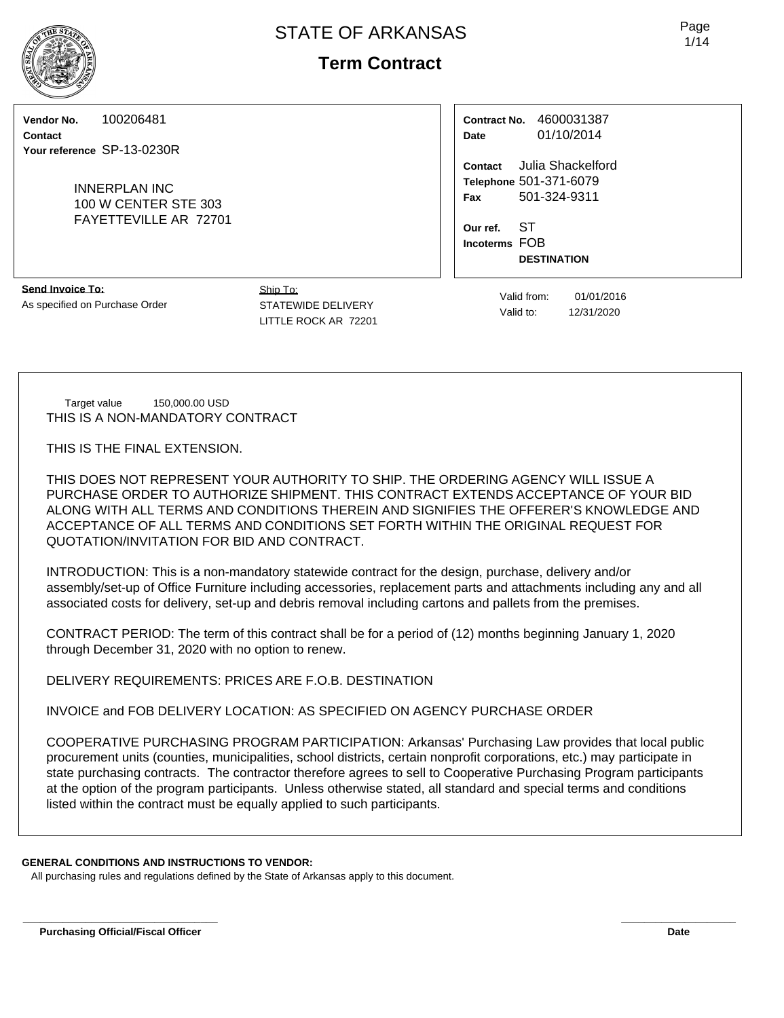**Vendor No.** 100206481

**Contact Your reference** SP-13-0230R

> INNERPLAN INC 100 W CENTER STE 303 FAYETTEVILLE AR 72701

| Contract No. | 4600031387 |  |  |  |  |
|--------------|------------|--|--|--|--|
| Date         | 01/10/2014 |  |  |  |  |

**Contact** Julia Shackelford **Telephone** 501-371-6079 **Fax** 501-324-9311

**Our ref.** ST **Incoterms** FOB **DESTINATION**

**Send Invoice To:** As specified on Purchase Order

STATEWIDE DELIVERY LITTLE ROCK AR 72201 Valid from: 01/01/2016 Valid to: 12/31/2020

Target value 150,000.00 USD THIS IS A NON-MANDATORY CONTRACT

THIS IS THE FINAL EXTENSION.

THIS DOES NOT REPRESENT YOUR AUTHORITY TO SHIP. THE ORDERING AGENCY WILL ISSUE A PURCHASE ORDER TO AUTHORIZE SHIPMENT. THIS CONTRACT EXTENDS ACCEPTANCE OF YOUR BID ALONG WITH ALL TERMS AND CONDITIONS THEREIN AND SIGNIFIES THE OFFERER'S KNOWLEDGE AND ACCEPTANCE OF ALL TERMS AND CONDITIONS SET FORTH WITHIN THE ORIGINAL REQUEST FOR QUOTATION/INVITATION FOR BID AND CONTRACT.

INTRODUCTION: This is a non-mandatory statewide contract for the design, purchase, delivery and/or assembly/set-up of Office Furniture including accessories, replacement parts and attachments including any and all associated costs for delivery, set-up and debris removal including cartons and pallets from the premises.

CONTRACT PERIOD: The term of this contract shall be for a period of (12) months beginning January 1, 2020 through December 31, 2020 with no option to renew.

DELIVERY REQUIREMENTS: PRICES ARE F.O.B. DESTINATION

INVOICE and FOB DELIVERY LOCATION: AS SPECIFIED ON AGENCY PURCHASE ORDER

COOPERATIVE PURCHASING PROGRAM PARTICIPATION: Arkansas' Purchasing Law provides that local public procurement units (counties, municipalities, school districts, certain nonprofit corporations, etc.) may participate in state purchasing contracts. The contractor therefore agrees to sell to Cooperative Purchasing Program participants at the option of the program participants. Unless otherwise stated, all standard and special terms and conditions listed within the contract must be equally applied to such participants.

### **GENERAL CONDITIONS AND INSTRUCTIONS TO VENDOR:**

All purchasing rules and regulations defined by the State of Arkansas apply to this document.



Ship To: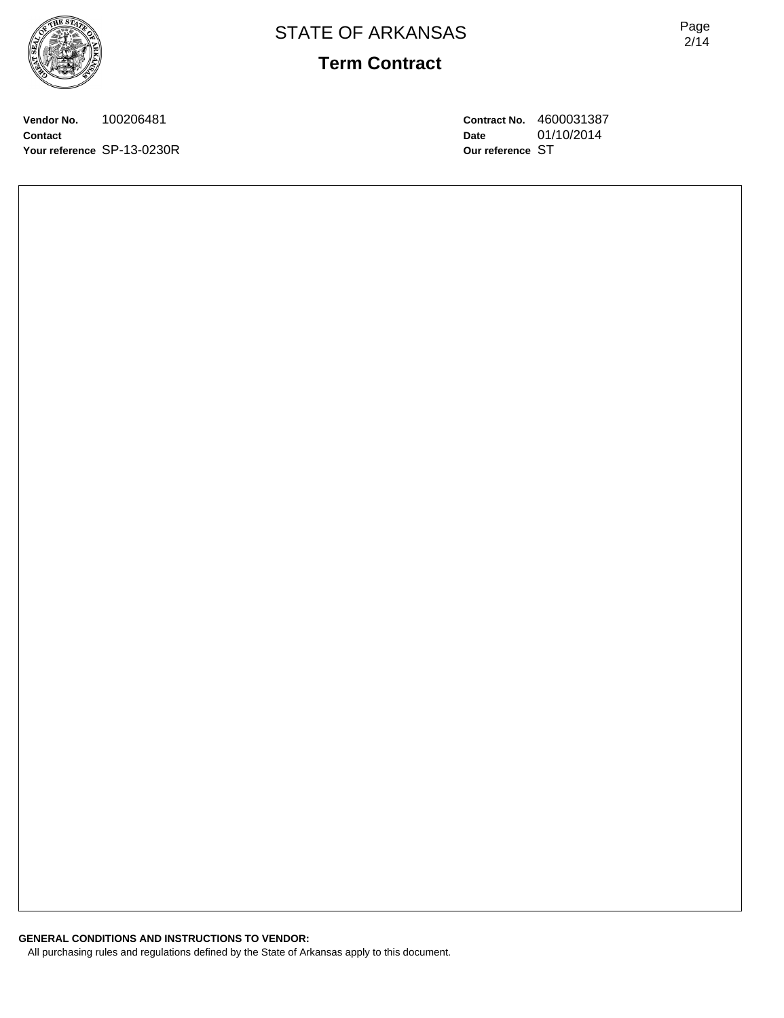Page 2/14

**Vendor No.** 100206481 **Contact Your reference** SP-13-0230R **Contract No.** 4600031387 **Date** 01/10/2014 **Our reference** ST

**GENERAL CONDITIONS AND INSTRUCTIONS TO VENDOR:** All purchasing rules and regulations defined by the State of Arkansas apply to this document.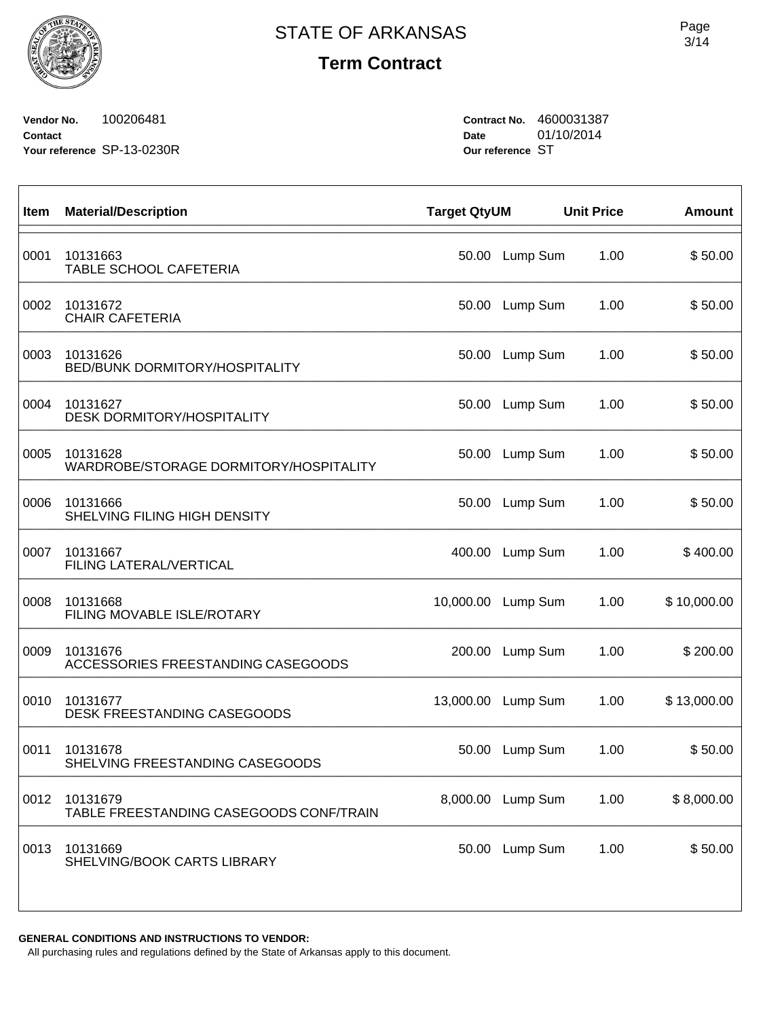$\sqrt{ }$ 

**Term Contract**

**Vendor No.** 100206481 **Contact Your reference** SP-13-0230R **Contract No.** 4600031387 **Date** 01/10/2014 **Our reference** ST

| Item | <b>Material/Description</b>                         | <b>Target QtyUM</b> |                   | <b>Unit Price</b> | <b>Amount</b> |
|------|-----------------------------------------------------|---------------------|-------------------|-------------------|---------------|
| 0001 | 10131663<br>TABLE SCHOOL CAFETERIA                  | 50.00               | Lump Sum          | 1.00              | \$50.00       |
| 0002 | 10131672<br><b>CHAIR CAFETERIA</b>                  | 50.00               | Lump Sum          | 1.00              | \$50.00       |
| 0003 | 10131626<br><b>BED/BUNK DORMITORY/HOSPITALITY</b>   | 50.00               | Lump Sum          | 1.00              | \$50.00       |
| 0004 | 10131627<br><b>DESK DORMITORY/HOSPITALITY</b>       | 50.00               | Lump Sum          | 1.00              | \$50.00       |
| 0005 | 10131628<br>WARDROBE/STORAGE DORMITORY/HOSPITALITY  | 50.00               | Lump Sum          | 1.00              | \$50.00       |
| 0006 | 10131666<br>SHELVING FILING HIGH DENSITY            | 50.00               | Lump Sum          | 1.00              | \$50.00       |
| 0007 | 10131667<br><b>FILING LATERAL/VERTICAL</b>          | 400.00              | Lump Sum          | 1.00              | \$400.00      |
| 0008 | 10131668<br>FILING MOVABLE ISLE/ROTARY              | 10,000.00           | Lump Sum          | 1.00              | \$10,000.00   |
| 0009 | 10131676<br>ACCESSORIES FREESTANDING CASEGOODS      | 200.00              | Lump Sum          | 1.00              | \$200.00      |
| 0010 | 10131677<br>DESK FREESTANDING CASEGOODS             | 13,000.00           | Lump Sum          | 1.00              | \$13,000.00   |
| 0011 | 10131678<br>SHELVING FREESTANDING CASEGOODS         | 50.00               | Lump Sum          | 1.00              | \$50.00       |
| 0012 | 10131679<br>TABLE FREESTANDING CASEGOODS CONF/TRAIN |                     | 8,000.00 Lump Sum | 1.00              | \$8,000.00    |
| 0013 | 10131669<br>SHELVING/BOOK CARTS LIBRARY             | 50.00               | Lump Sum          | 1.00              | \$50.00       |
|      |                                                     |                     |                   |                   |               |

**GENERAL CONDITIONS AND INSTRUCTIONS TO VENDOR:**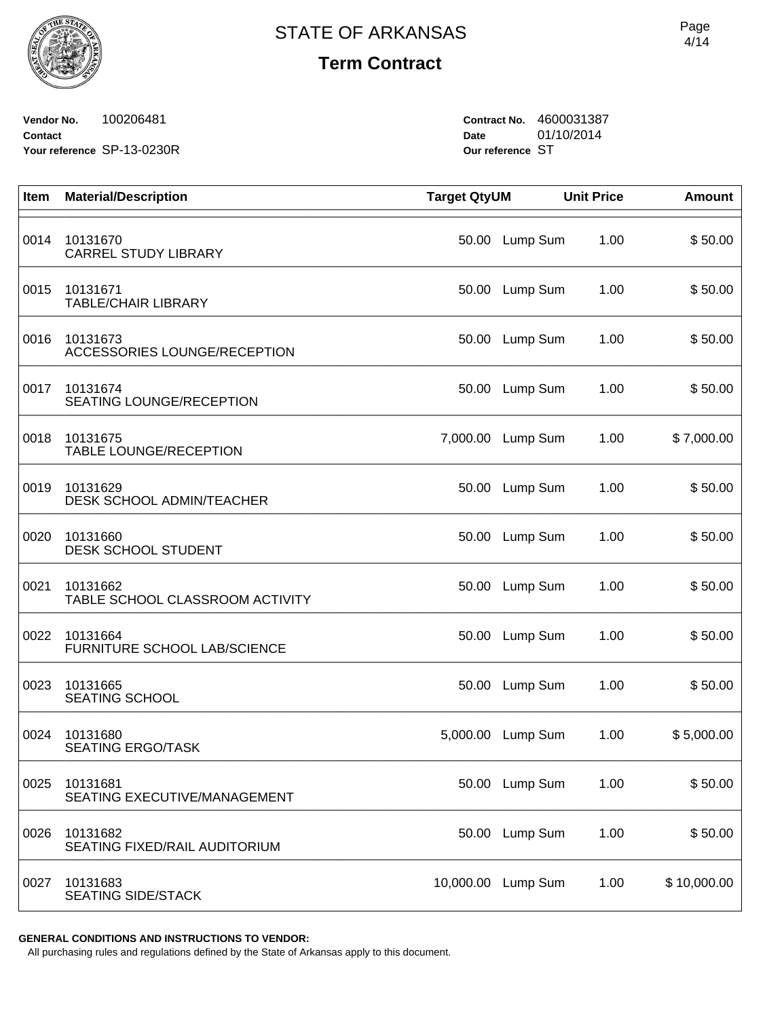**Vendor No.** 100206481 **Contact Your reference** SP-13-0230R **Contract No.** 4600031387 **Date** 01/10/2014 **Our reference** ST

| Item | <b>Material/Description</b>                  | <b>Target QtyUM</b> |                   | <b>Unit Price</b> | <b>Amount</b> |
|------|----------------------------------------------|---------------------|-------------------|-------------------|---------------|
| 0014 | 10131670<br><b>CARREL STUDY LIBRARY</b>      | 50.00               | Lump Sum          | 1.00              | \$50.00       |
| 0015 | 10131671<br><b>TABLE/CHAIR LIBRARY</b>       | 50.00               | Lump Sum          | 1.00              | \$50.00       |
| 0016 | 10131673<br>ACCESSORIES LOUNGE/RECEPTION     | 50.00               | Lump Sum          | 1.00              | \$50.00       |
| 0017 | 10131674<br>SEATING LOUNGE/RECEPTION         | 50.00               | Lump Sum          | 1.00              | \$50.00       |
| 0018 | 10131675<br><b>TABLE LOUNGE/RECEPTION</b>    |                     | 7,000.00 Lump Sum | 1.00              | \$7,000.00    |
| 0019 | 10131629<br><b>DESK SCHOOL ADMIN/TEACHER</b> | 50.00               | Lump Sum          | 1.00              | \$50.00       |
| 0020 | 10131660<br><b>DESK SCHOOL STUDENT</b>       | 50.00               | Lump Sum          | 1.00              | \$50.00       |
| 0021 | 10131662<br>TABLE SCHOOL CLASSROOM ACTIVITY  | 50.00               | Lump Sum          | 1.00              | \$50.00       |
| 0022 | 10131664<br>FURNITURE SCHOOL LAB/SCIENCE     | 50.00               | Lump Sum          | 1.00              | \$50.00       |
| 0023 | 10131665<br><b>SEATING SCHOOL</b>            | 50.00               | Lump Sum          | 1.00              | \$50.00       |
| 0024 | 10131680<br><b>SEATING ERGO/TASK</b>         | 5,000.00            | Lump Sum          | 1.00              | \$5,000.00    |
| 0025 | 10131681<br>SEATING EXECUTIVE/MANAGEMENT     |                     | 50.00 Lump Sum    | 1.00              | \$50.00       |
| 0026 | 10131682<br>SEATING FIXED/RAIL AUDITORIUM    |                     | 50.00 Lump Sum    | 1.00              | \$50.00       |
| 0027 | 10131683<br><b>SEATING SIDE/STACK</b>        | 10,000.00           | Lump Sum          | 1.00              | \$10,000.00   |

**GENERAL CONDITIONS AND INSTRUCTIONS TO VENDOR:**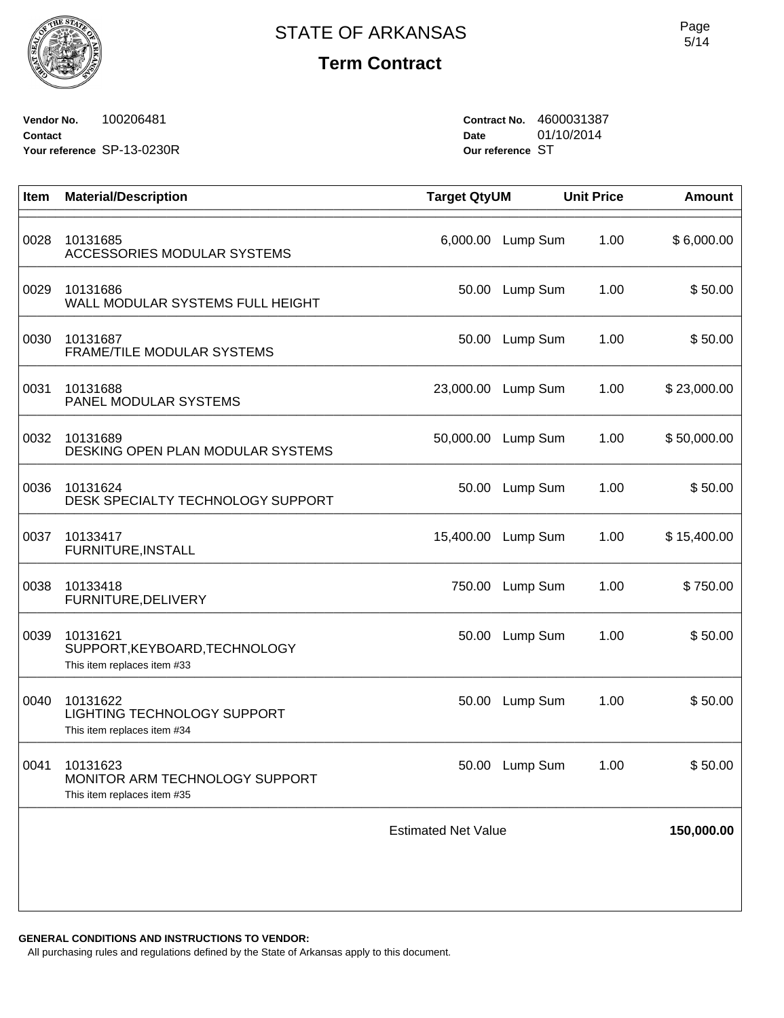

**Vendor No.** 100206481 **Contact Your reference** SP-13-0230R **Contract No.** 4600031387 **Date** 01/10/2014 **Our reference** ST

| Item | <b>Material/Description</b>                                                    | <b>Target QtyUM</b>        |                    | <b>Unit Price</b> | <b>Amount</b> |
|------|--------------------------------------------------------------------------------|----------------------------|--------------------|-------------------|---------------|
| 0028 | 10131685<br>ACCESSORIES MODULAR SYSTEMS                                        |                            | 6,000.00 Lump Sum  | 1.00              | \$6,000.00    |
| 0029 | 10131686<br>WALL MODULAR SYSTEMS FULL HEIGHT                                   |                            | 50.00 Lump Sum     | 1.00              | \$50.00       |
| 0030 | 10131687<br>FRAME/TILE MODULAR SYSTEMS                                         | 50.00                      | Lump Sum           | 1.00              | \$50.00       |
| 0031 | 10131688<br>PANEL MODULAR SYSTEMS                                              | 23,000.00                  | Lump Sum           | 1.00              | \$23,000.00   |
| 0032 | 10131689<br>DESKING OPEN PLAN MODULAR SYSTEMS                                  | 50,000.00                  | Lump Sum           | 1.00              | \$50,000.00   |
| 0036 | 10131624<br>DESK SPECIALTY TECHNOLOGY SUPPORT                                  | 50.00                      | Lump Sum           | 1.00              | \$50.00       |
| 0037 | 10133417<br>FURNITURE, INSTALL                                                 |                            | 15,400.00 Lump Sum | 1.00              | \$15,400.00   |
| 0038 | 10133418<br>FURNITURE, DELIVERY                                                | 750.00                     | Lump Sum           | 1.00              | \$750.00      |
| 0039 | 10131621<br>SUPPORT, KEYBOARD, TECHNOLOGY<br>This item replaces item #33       | 50.00                      | Lump Sum           | 1.00              | \$50.00       |
| 0040 | 10131622<br>LIGHTING TECHNOLOGY SUPPORT<br>This item replaces item #34         | 50.00                      | Lump Sum           | 1.00              | \$50.00       |
|      | 0041 10131623<br>MONITOR ARM TECHNOLOGY SUPPORT<br>This item replaces item #35 |                            | 50.00 Lump Sum     | 1.00              | \$50.00       |
|      |                                                                                | <b>Estimated Net Value</b> |                    |                   | 150,000.00    |
|      |                                                                                |                            |                    |                   |               |

**GENERAL CONDITIONS AND INSTRUCTIONS TO VENDOR:**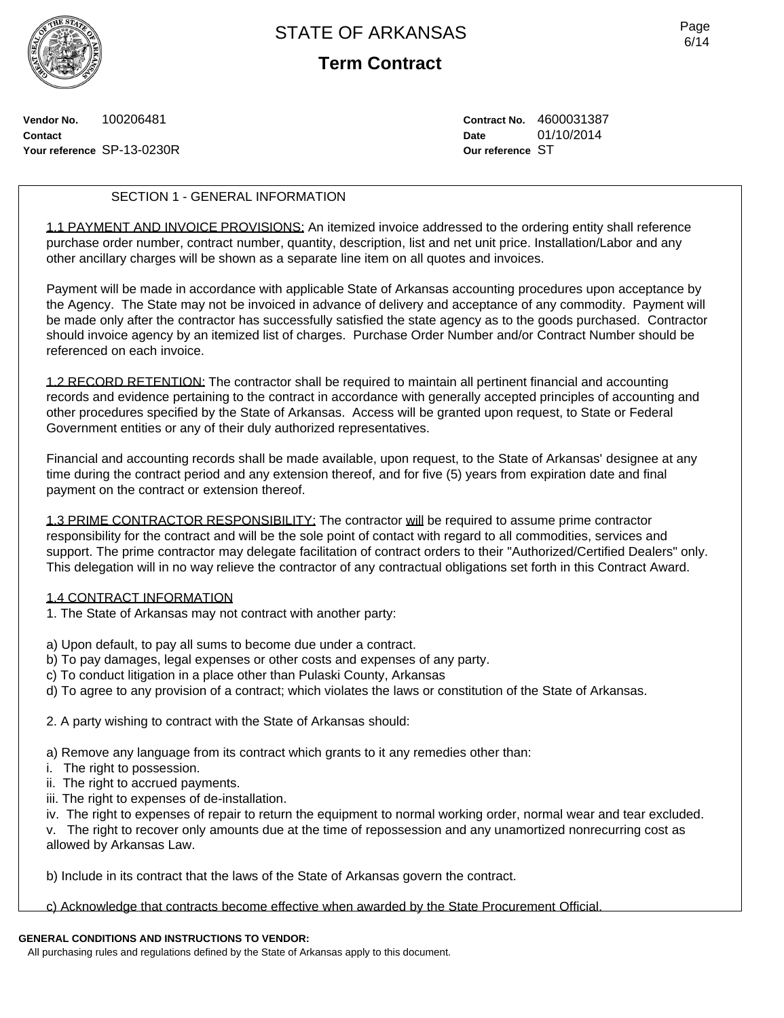

**Term Contract**

**Vendor No.** 100206481 **Contact Your reference** SP-13-0230R **Contract No.** 4600031387 **Date** 01/10/2014 **Our reference** ST

## SECTION 1 - GENERAL INFORMATION

1.1 PAYMENT AND INVOICE PROVISIONS: An itemized invoice addressed to the ordering entity shall reference purchase order number, contract number, quantity, description, list and net unit price. Installation/Labor and any other ancillary charges will be shown as a separate line item on all quotes and invoices.

Payment will be made in accordance with applicable State of Arkansas accounting procedures upon acceptance by the Agency. The State may not be invoiced in advance of delivery and acceptance of any commodity. Payment will be made only after the contractor has successfully satisfied the state agency as to the goods purchased. Contractor should invoice agency by an itemized list of charges. Purchase Order Number and/or Contract Number should be referenced on each invoice.

1.2 RECORD RETENTION: The contractor shall be required to maintain all pertinent financial and accounting records and evidence pertaining to the contract in accordance with generally accepted principles of accounting and other procedures specified by the State of Arkansas. Access will be granted upon request, to State or Federal Government entities or any of their duly authorized representatives.

Financial and accounting records shall be made available, upon request, to the State of Arkansas' designee at any time during the contract period and any extension thereof, and for five (5) years from expiration date and final payment on the contract or extension thereof.

1.3 PRIME CONTRACTOR RESPONSIBILITY: The contractor will be required to assume prime contractor responsibility for the contract and will be the sole point of contact with regard to all commodities, services and support. The prime contractor may delegate facilitation of contract orders to their "Authorized/Certified Dealers" only. This delegation will in no way relieve the contractor of any contractual obligations set forth in this Contract Award.

### 1.4 CONTRACT INFORMATION

1. The State of Arkansas may not contract with another party:

a) Upon default, to pay all sums to become due under a contract.

- b) To pay damages, legal expenses or other costs and expenses of any party.
- c) To conduct litigation in a place other than Pulaski County, Arkansas
- d) To agree to any provision of a contract; which violates the laws or constitution of the State of Arkansas.
- 2. A party wishing to contract with the State of Arkansas should:
- a) Remove any language from its contract which grants to it any remedies other than:
- i. The right to possession.
- ii. The right to accrued payments.
- iii. The right to expenses of de-installation.
- iv. The right to expenses of repair to return the equipment to normal working order, normal wear and tear excluded.

v. The right to recover only amounts due at the time of repossession and any unamortized nonrecurring cost as allowed by Arkansas Law.

b) Include in its contract that the laws of the State of Arkansas govern the contract.

c) Acknowledge that contracts become effective when awarded by the State Procurement Official.

## **GENERAL CONDITIONS AND INSTRUCTIONS TO VENDOR:**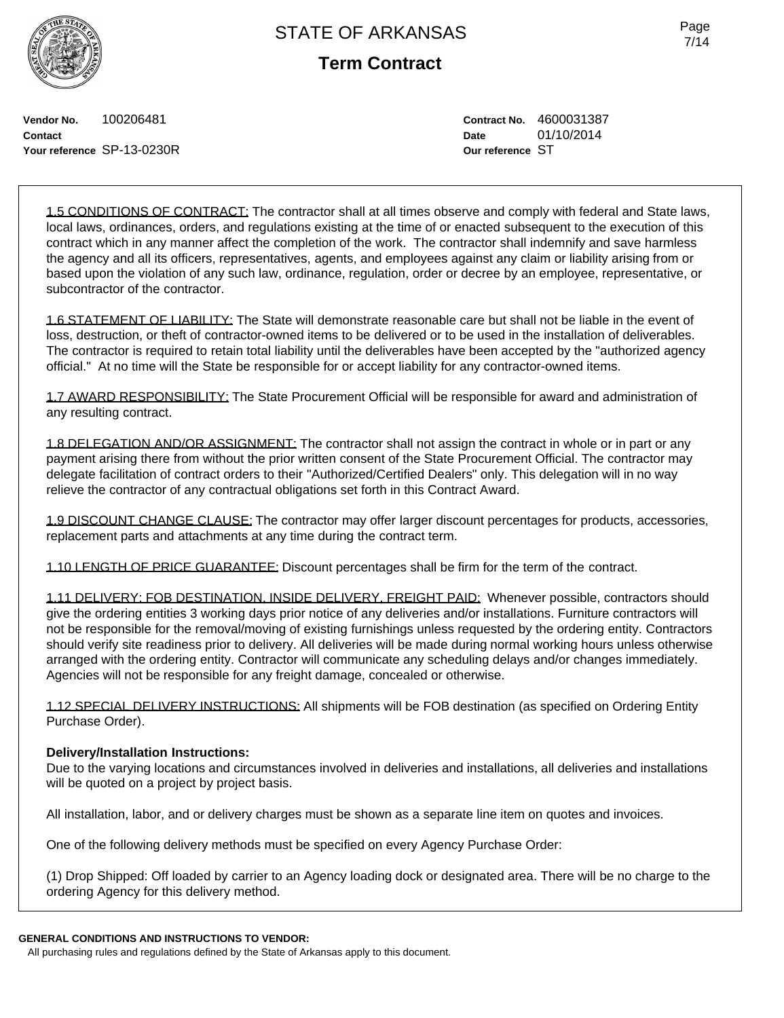**Term Contract**

**Vendor No.** 100206481 **Contact Your reference** SP-13-0230R **Contract No.** 4600031387 **Date** 01/10/2014 **Our reference** ST

1.5 CONDITIONS OF CONTRACT: The contractor shall at all times observe and comply with federal and State laws, local laws, ordinances, orders, and regulations existing at the time of or enacted subsequent to the execution of this contract which in any manner affect the completion of the work. The contractor shall indemnify and save harmless the agency and all its officers, representatives, agents, and employees against any claim or liability arising from or based upon the violation of any such law, ordinance, regulation, order or decree by an employee, representative, or subcontractor of the contractor.

1.6 STATEMENT OF LIABILITY: The State will demonstrate reasonable care but shall not be liable in the event of loss, destruction, or theft of contractor-owned items to be delivered or to be used in the installation of deliverables. The contractor is required to retain total liability until the deliverables have been accepted by the "authorized agency official." At no time will the State be responsible for or accept liability for any contractor-owned items.

1.7 AWARD RESPONSIBILITY: The State Procurement Official will be responsible for award and administration of any resulting contract.

1.8 DELEGATION AND/OR ASSIGNMENT: The contractor shall not assign the contract in whole or in part or any payment arising there from without the prior written consent of the State Procurement Official. The contractor may delegate facilitation of contract orders to their "Authorized/Certified Dealers" only. This delegation will in no way relieve the contractor of any contractual obligations set forth in this Contract Award.

1.9 DISCOUNT CHANGE CLAUSE: The contractor may offer larger discount percentages for products, accessories, replacement parts and attachments at any time during the contract term.

1.10 LENGTH OF PRICE GUARANTEE: Discount percentages shall be firm for the term of the contract.

1.11 DELIVERY: FOB DESTINATION, INSIDE DELIVERY, FREIGHT PAID: Whenever possible, contractors should give the ordering entities 3 working days prior notice of any deliveries and/or installations. Furniture contractors will not be responsible for the removal/moving of existing furnishings unless requested by the ordering entity. Contractors should verify site readiness prior to delivery. All deliveries will be made during normal working hours unless otherwise arranged with the ordering entity. Contractor will communicate any scheduling delays and/or changes immediately. Agencies will not be responsible for any freight damage, concealed or otherwise.

1.12 SPECIAL DELIVERY INSTRUCTIONS: All shipments will be FOB destination (as specified on Ordering Entity Purchase Order).

## **Delivery/Installation Instructions:**

Due to the varying locations and circumstances involved in deliveries and installations, all deliveries and installations will be quoted on a project by project basis.

All installation, labor, and or delivery charges must be shown as a separate line item on quotes and invoices.

One of the following delivery methods must be specified on every Agency Purchase Order:

(1) Drop Shipped: Off loaded by carrier to an Agency loading dock or designated area. There will be no charge to the ordering Agency for this delivery method.

### **GENERAL CONDITIONS AND INSTRUCTIONS TO VENDOR:**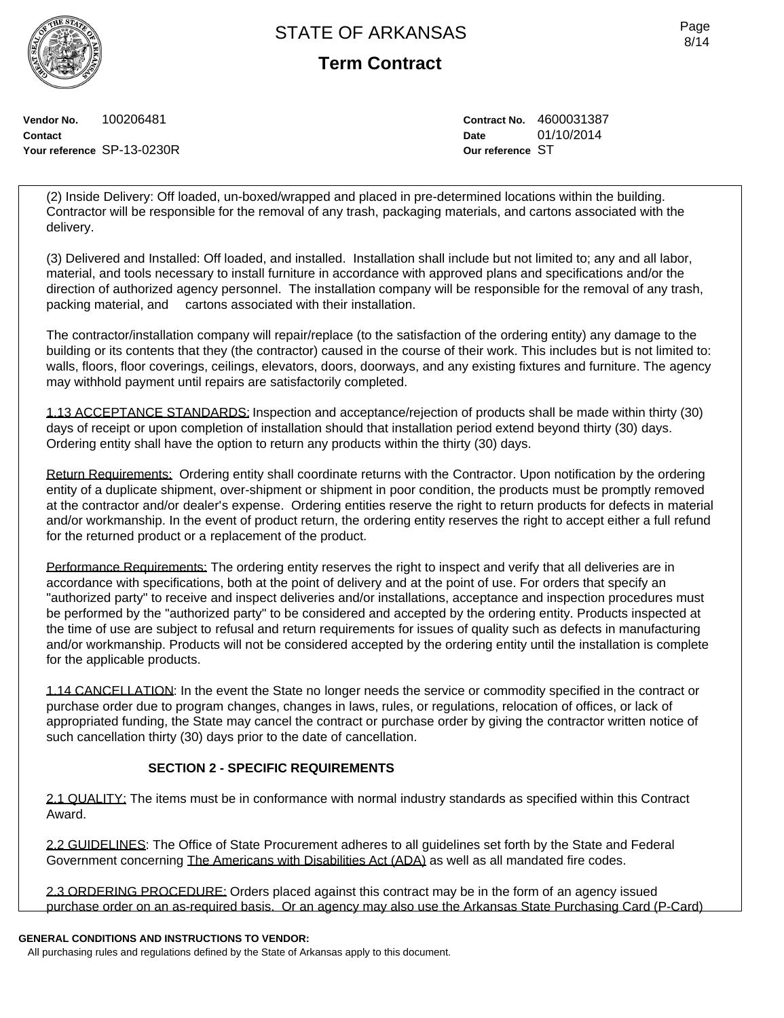**Term Contract**

**Vendor No.** 100206481 **Contact Your reference** SP-13-0230R **Contract No.** 4600031387 **Date** 01/10/2014 **Our reference** ST

(2) Inside Delivery: Off loaded, un-boxed/wrapped and placed in pre-determined locations within the building. Contractor will be responsible for the removal of any trash, packaging materials, and cartons associated with the delivery.

(3) Delivered and Installed: Off loaded, and installed. Installation shall include but not limited to; any and all labor, material, and tools necessary to install furniture in accordance with approved plans and specifications and/or the direction of authorized agency personnel. The installation company will be responsible for the removal of any trash, packing material, and cartons associated with their installation.

The contractor/installation company will repair/replace (to the satisfaction of the ordering entity) any damage to the building or its contents that they (the contractor) caused in the course of their work. This includes but is not limited to: walls, floors, floor coverings, ceilings, elevators, doors, doorways, and any existing fixtures and furniture. The agency may withhold payment until repairs are satisfactorily completed.

1.13 ACCEPTANCE STANDARDS: Inspection and acceptance/rejection of products shall be made within thirty (30) days of receipt or upon completion of installation should that installation period extend beyond thirty (30) days. Ordering entity shall have the option to return any products within the thirty (30) days.

Return Requirements: Ordering entity shall coordinate returns with the Contractor. Upon notification by the ordering entity of a duplicate shipment, over-shipment or shipment in poor condition, the products must be promptly removed at the contractor and/or dealer's expense. Ordering entities reserve the right to return products for defects in material and/or workmanship. In the event of product return, the ordering entity reserves the right to accept either a full refund for the returned product or a replacement of the product.

Performance Requirements: The ordering entity reserves the right to inspect and verify that all deliveries are in accordance with specifications, both at the point of delivery and at the point of use. For orders that specify an "authorized party" to receive and inspect deliveries and/or installations, acceptance and inspection procedures must be performed by the "authorized party" to be considered and accepted by the ordering entity. Products inspected at the time of use are subject to refusal and return requirements for issues of quality such as defects in manufacturing and/or workmanship. Products will not be considered accepted by the ordering entity until the installation is complete for the applicable products.

1.14 CANCELLATION: In the event the State no longer needs the service or commodity specified in the contract or purchase order due to program changes, changes in laws, rules, or regulations, relocation of offices, or lack of appropriated funding, the State may cancel the contract or purchase order by giving the contractor written notice of such cancellation thirty (30) days prior to the date of cancellation.

## **SECTION 2 - SPECIFIC REQUIREMENTS**

2.1 QUALITY: The items must be in conformance with normal industry standards as specified within this Contract Award.

2.2 GUIDELINES: The Office of State Procurement adheres to all guidelines set forth by the State and Federal Government concerning The Americans with Disabilities Act (ADA) as well as all mandated fire codes.

2.3 ORDERING PROCEDURE: Orders placed against this contract may be in the form of an agency issued purchase order on an as-required basis. Or an agency may also use the Arkansas State Purchasing Card (P-Card)

## **GENERAL CONDITIONS AND INSTRUCTIONS TO VENDOR:**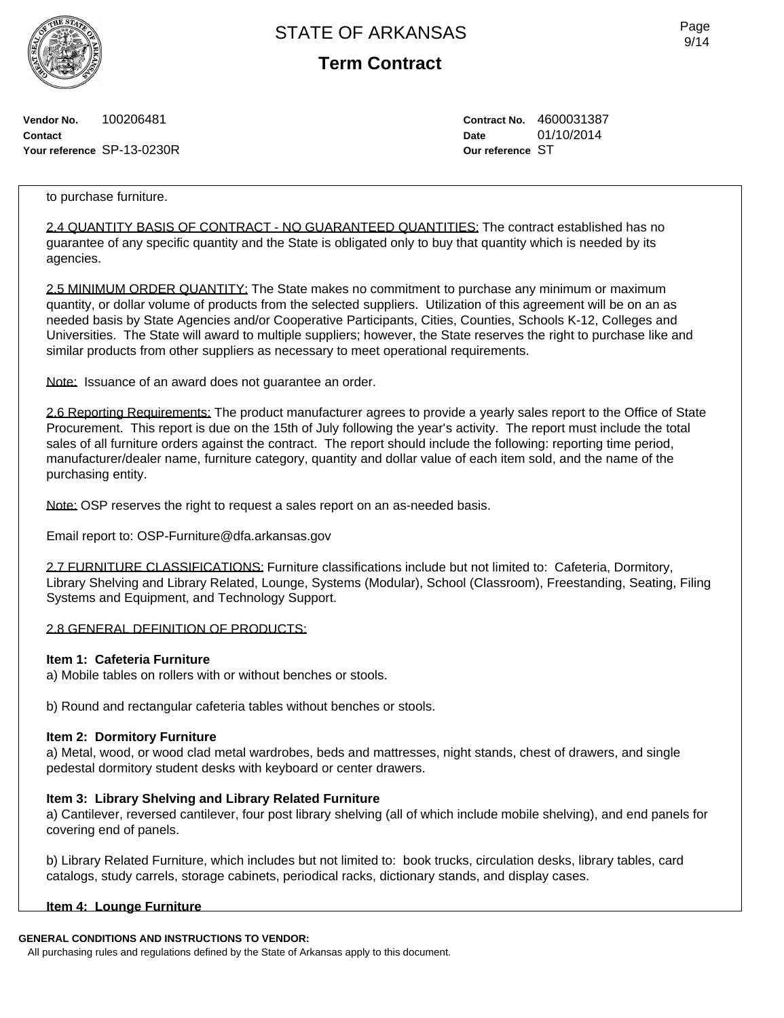**Term Contract**

**Vendor No.** 100206481 **Contact Your reference** SP-13-0230R **Contract No.** 4600031387 **Date** 01/10/2014 **Our reference** ST

### to purchase furniture.

2.4 QUANTITY BASIS OF CONTRACT - NO GUARANTEED QUANTITIES: The contract established has no guarantee of any specific quantity and the State is obligated only to buy that quantity which is needed by its agencies.

2.5 MINIMUM ORDER QUANTITY: The State makes no commitment to purchase any minimum or maximum quantity, or dollar volume of products from the selected suppliers. Utilization of this agreement will be on an as needed basis by State Agencies and/or Cooperative Participants, Cities, Counties, Schools K-12, Colleges and Universities. The State will award to multiple suppliers; however, the State reserves the right to purchase like and similar products from other suppliers as necessary to meet operational requirements.

Note: Issuance of an award does not guarantee an order.

2.6 Reporting Requirements: The product manufacturer agrees to provide a yearly sales report to the Office of State Procurement. This report is due on the 15th of July following the year's activity. The report must include the total sales of all furniture orders against the contract. The report should include the following: reporting time period, manufacturer/dealer name, furniture category, quantity and dollar value of each item sold, and the name of the purchasing entity.

Note: OSP reserves the right to request a sales report on an as-needed basis.

Email report to: OSP-Furniture@dfa.arkansas.gov

2.7 FURNITURE CLASSIFICATIONS: Furniture classifications include but not limited to: Cafeteria, Dormitory, Library Shelving and Library Related, Lounge, Systems (Modular), School (Classroom), Freestanding, Seating, Filing Systems and Equipment, and Technology Support.

### 2.8 GENERAL DEFINITION OF PRODUCTS:

### **Item 1: Cafeteria Furniture**

a) Mobile tables on rollers with or without benches or stools.

b) Round and rectangular cafeteria tables without benches or stools.

### **Item 2: Dormitory Furniture**

a) Metal, wood, or wood clad metal wardrobes, beds and mattresses, night stands, chest of drawers, and single pedestal dormitory student desks with keyboard or center drawers.

## **Item 3: Library Shelving and Library Related Furniture**

a) Cantilever, reversed cantilever, four post library shelving (all of which include mobile shelving), and end panels for covering end of panels.

b) Library Related Furniture, which includes but not limited to: book trucks, circulation desks, library tables, card catalogs, study carrels, storage cabinets, periodical racks, dictionary stands, and display cases.

### **Item 4: Lounge Furniture**

## **GENERAL CONDITIONS AND INSTRUCTIONS TO VENDOR:**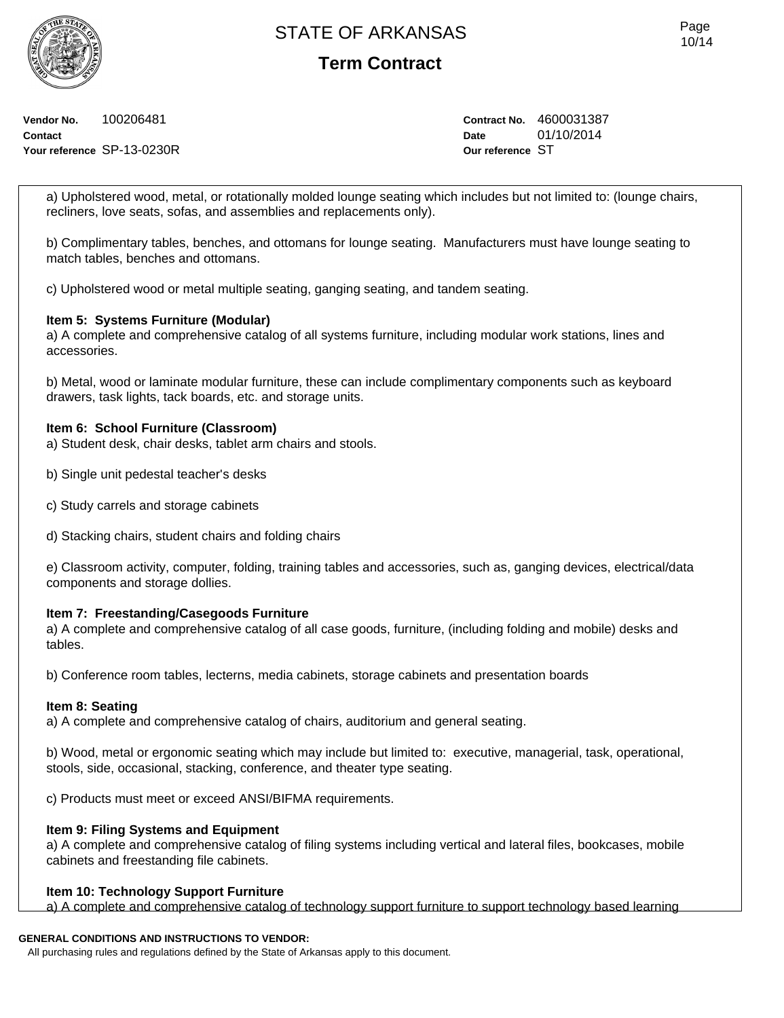**Term Contract**

**Vendor No.** 100206481 **Contact Your reference** SP-13-0230R **Contract No.** 4600031387 **Date** 01/10/2014 **Our reference** ST

a) Upholstered wood, metal, or rotationally molded lounge seating which includes but not limited to: (lounge chairs, recliners, love seats, sofas, and assemblies and replacements only).

b) Complimentary tables, benches, and ottomans for lounge seating. Manufacturers must have lounge seating to match tables, benches and ottomans.

c) Upholstered wood or metal multiple seating, ganging seating, and tandem seating.

### **Item 5: Systems Furniture (Modular)**

a) A complete and comprehensive catalog of all systems furniture, including modular work stations, lines and accessories.

b) Metal, wood or laminate modular furniture, these can include complimentary components such as keyboard drawers, task lights, tack boards, etc. and storage units.

### **Item 6: School Furniture (Classroom)**

a) Student desk, chair desks, tablet arm chairs and stools.

- b) Single unit pedestal teacher's desks
- c) Study carrels and storage cabinets
- d) Stacking chairs, student chairs and folding chairs

e) Classroom activity, computer, folding, training tables and accessories, such as, ganging devices, electrical/data components and storage dollies.

### **Item 7: Freestanding/Casegoods Furniture**

a) A complete and comprehensive catalog of all case goods, furniture, (including folding and mobile) desks and tables.

b) Conference room tables, lecterns, media cabinets, storage cabinets and presentation boards

### **Item 8: Seating**

a) A complete and comprehensive catalog of chairs, auditorium and general seating.

b) Wood, metal or ergonomic seating which may include but limited to: executive, managerial, task, operational, stools, side, occasional, stacking, conference, and theater type seating.

c) Products must meet or exceed ANSI/BIFMA requirements.

### **Item 9: Filing Systems and Equipment**

a) A complete and comprehensive catalog of filing systems including vertical and lateral files, bookcases, mobile cabinets and freestanding file cabinets.

### **Item 10: Technology Support Furniture**

a) A complete and comprehensive catalog of technology support furniture to support technology based learning

## **GENERAL CONDITIONS AND INSTRUCTIONS TO VENDOR:**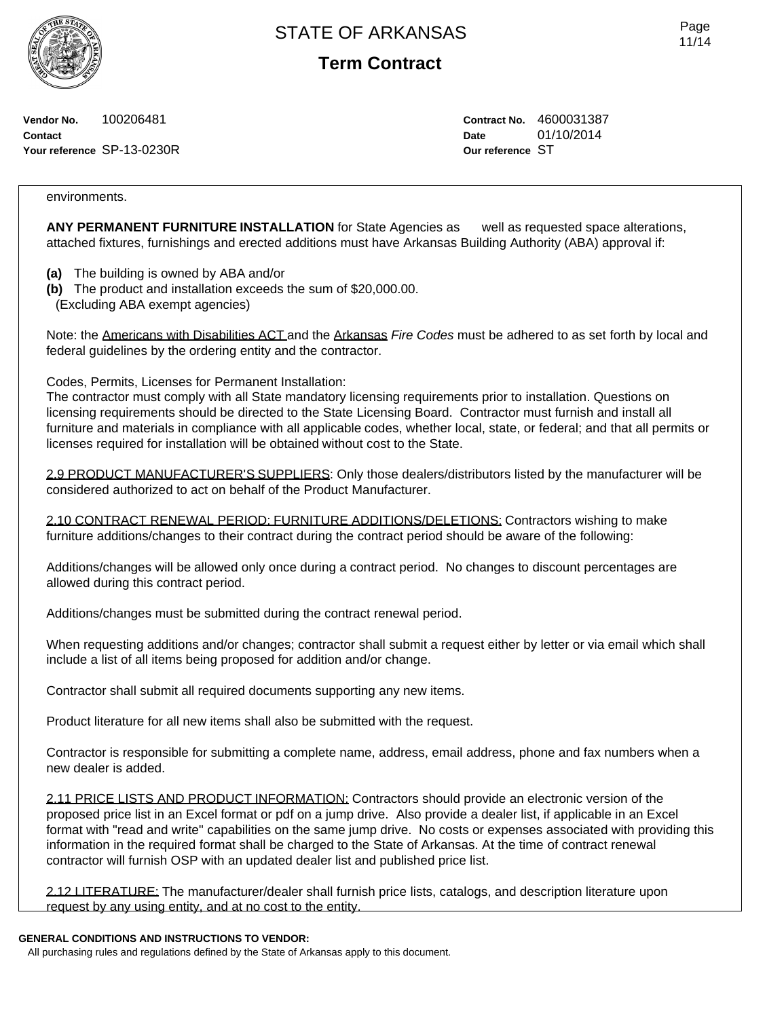**Term Contract**

**Vendor No.** 100206481 **Contact Your reference** SP-13-0230R **Contract No.** 4600031387 **Date** 01/10/2014 **Our reference** ST

### environments.

**ANY PERMANENT FURNITURE INSTALLATION** for State Agencies as well as requested space alterations, attached fixtures, furnishings and erected additions must have Arkansas Building Authority (ABA) approval if:

- **(a)** The building is owned by ABA and/or
- **(b)** The product and installation exceeds the sum of \$20,000.00.
- (Excluding ABA exempt agencies)

Note: the Americans with Disabilities ACT and the Arkansas *Fire Codes* must be adhered to as set forth by local and federal guidelines by the ordering entity and the contractor.

Codes, Permits, Licenses for Permanent Installation:

The contractor must comply with all State mandatory licensing requirements prior to installation. Questions on licensing requirements should be directed to the State Licensing Board. Contractor must furnish and install all furniture and materials in compliance with all applicable codes, whether local, state, or federal; and that all permits or licenses required for installation will be obtained without cost to the State.

2.9 PRODUCT MANUFACTURER'S SUPPLIERS: Only those dealers/distributors listed by the manufacturer will be considered authorized to act on behalf of the Product Manufacturer.

2.10 CONTRACT RENEWAL PERIOD: FURNITURE ADDITIONS/DELETIONS: Contractors wishing to make furniture additions/changes to their contract during the contract period should be aware of the following:

Additions/changes will be allowed only once during a contract period. No changes to discount percentages are allowed during this contract period.

Additions/changes must be submitted during the contract renewal period.

When requesting additions and/or changes; contractor shall submit a request either by letter or via email which shall include a list of all items being proposed for addition and/or change.

Contractor shall submit all required documents supporting any new items.

Product literature for all new items shall also be submitted with the request.

Contractor is responsible for submitting a complete name, address, email address, phone and fax numbers when a new dealer is added.

2.11 PRICE LISTS AND PRODUCT INFORMATION: Contractors should provide an electronic version of the proposed price list in an Excel format or pdf on a jump drive. Also provide a dealer list, if applicable in an Excel format with "read and write" capabilities on the same jump drive. No costs or expenses associated with providing this information in the required format shall be charged to the State of Arkansas. At the time of contract renewal contractor will furnish OSP with an updated dealer list and published price list.

2.12 LITERATURE: The manufacturer/dealer shall furnish price lists, catalogs, and description literature upon request by any using entity, and at no cost to the entity.

## **GENERAL CONDITIONS AND INSTRUCTIONS TO VENDOR:**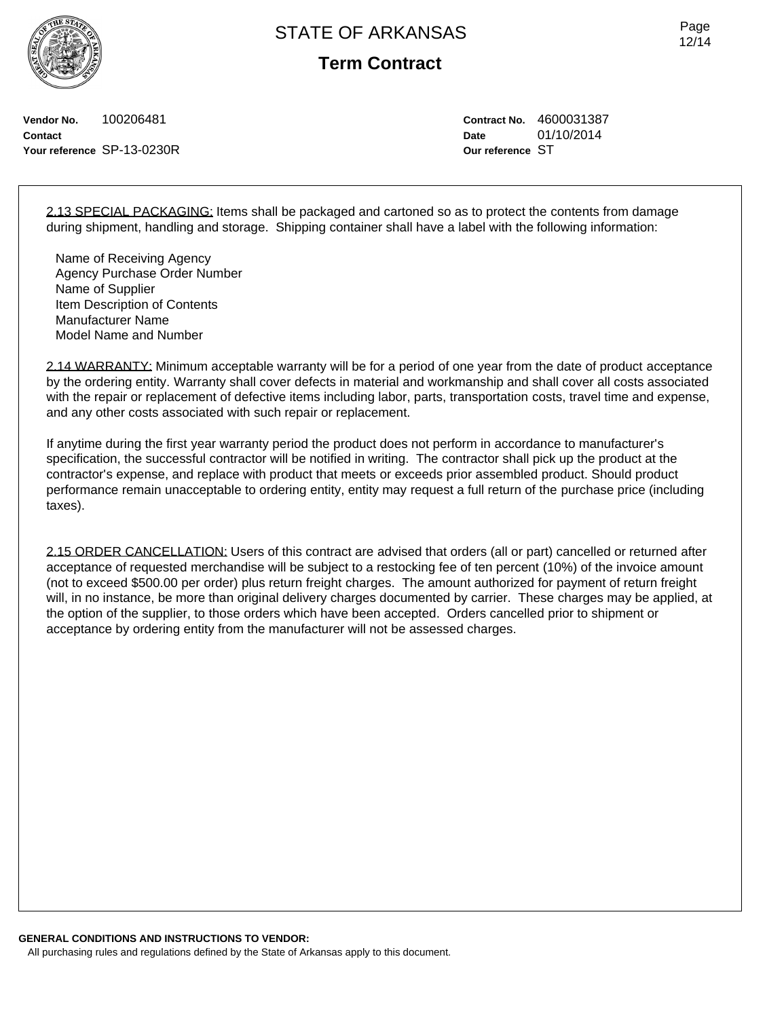**Term Contract**

**Vendor No.** 100206481 **Contact Your reference** SP-13-0230R **Contract No.** 4600031387 **Date** 01/10/2014 **Our reference** ST

2.13 SPECIAL PACKAGING: Items shall be packaged and cartoned so as to protect the contents from damage during shipment, handling and storage. Shipping container shall have a label with the following information:

Name of Receiving Agency Agency Purchase Order Number Name of Supplier Item Description of Contents Manufacturer Name Model Name and Number

2.14 WARRANTY: Minimum acceptable warranty will be for a period of one year from the date of product acceptance by the ordering entity. Warranty shall cover defects in material and workmanship and shall cover all costs associated with the repair or replacement of defective items including labor, parts, transportation costs, travel time and expense, and any other costs associated with such repair or replacement.

If anytime during the first year warranty period the product does not perform in accordance to manufacturer's specification, the successful contractor will be notified in writing. The contractor shall pick up the product at the contractor's expense, and replace with product that meets or exceeds prior assembled product. Should product performance remain unacceptable to ordering entity, entity may request a full return of the purchase price (including taxes).

2.15 ORDER CANCELLATION: Users of this contract are advised that orders (all or part) cancelled or returned after acceptance of requested merchandise will be subject to a restocking fee of ten percent (10%) of the invoice amount (not to exceed \$500.00 per order) plus return freight charges. The amount authorized for payment of return freight will, in no instance, be more than original delivery charges documented by carrier. These charges may be applied, at the option of the supplier, to those orders which have been accepted. Orders cancelled prior to shipment or acceptance by ordering entity from the manufacturer will not be assessed charges.

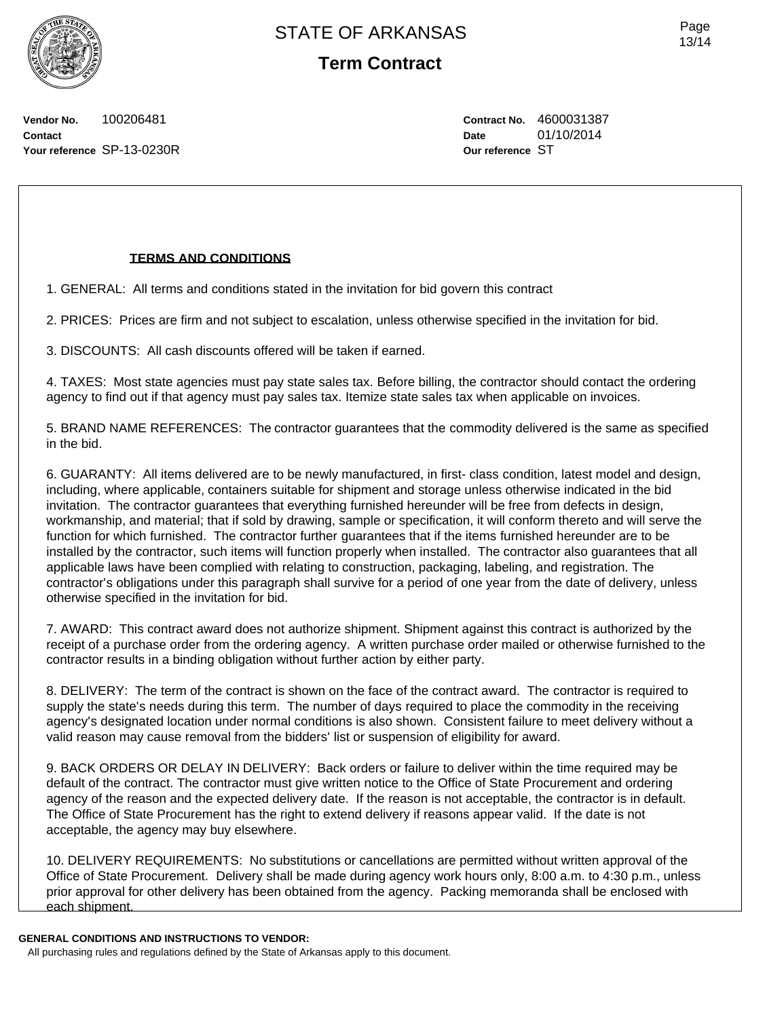Page 13/14

**Vendor No.** 100206481 **Contact Your reference** SP-13-0230R **Contract No.** 4600031387 **Date** 01/10/2014 **Our reference** ST

## **TERMS AND CONDITIONS**

1. GENERAL: All terms and conditions stated in the invitation for bid govern this contract

2. PRICES: Prices are firm and not subject to escalation, unless otherwise specified in the invitation for bid.

3. DISCOUNTS: All cash discounts offered will be taken if earned.

4. TAXES: Most state agencies must pay state sales tax. Before billing, the contractor should contact the ordering agency to find out if that agency must pay sales tax. Itemize state sales tax when applicable on invoices.

5. BRAND NAME REFERENCES: The contractor guarantees that the commodity delivered is the same as specified in the bid.

6. GUARANTY: All items delivered are to be newly manufactured, in first- class condition, latest model and design, including, where applicable, containers suitable for shipment and storage unless otherwise indicated in the bid invitation. The contractor guarantees that everything furnished hereunder will be free from defects in design, workmanship, and material; that if sold by drawing, sample or specification, it will conform thereto and will serve the function for which furnished. The contractor further guarantees that if the items furnished hereunder are to be installed by the contractor, such items will function properly when installed. The contractor also guarantees that all applicable laws have been complied with relating to construction, packaging, labeling, and registration. The contractor's obligations under this paragraph shall survive for a period of one year from the date of delivery, unless otherwise specified in the invitation for bid.

7. AWARD: This contract award does not authorize shipment. Shipment against this contract is authorized by the receipt of a purchase order from the ordering agency. A written purchase order mailed or otherwise furnished to the contractor results in a binding obligation without further action by either party.

8. DELIVERY: The term of the contract is shown on the face of the contract award. The contractor is required to supply the state's needs during this term. The number of days required to place the commodity in the receiving agency's designated location under normal conditions is also shown. Consistent failure to meet delivery without a valid reason may cause removal from the bidders' list or suspension of eligibility for award.

9. BACK ORDERS OR DELAY IN DELIVERY: Back orders or failure to deliver within the time required may be default of the contract. The contractor must give written notice to the Office of State Procurement and ordering agency of the reason and the expected delivery date. If the reason is not acceptable, the contractor is in default. The Office of State Procurement has the right to extend delivery if reasons appear valid. If the date is not acceptable, the agency may buy elsewhere.

10. DELIVERY REQUIREMENTS: No substitutions or cancellations are permitted without written approval of the Office of State Procurement. Delivery shall be made during agency work hours only, 8:00 a.m. to 4:30 p.m., unless prior approval for other delivery has been obtained from the agency. Packing memoranda shall be enclosed with each shipment.

**GENERAL CONDITIONS AND INSTRUCTIONS TO VENDOR:**